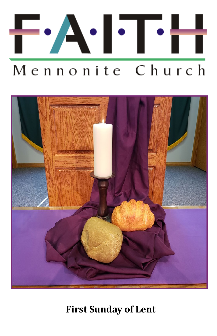



**First Sunday of Lent**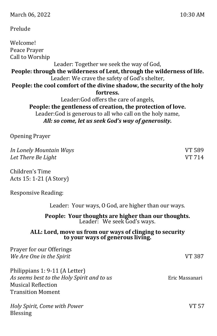### Prelude

Welcome! Peace Prayer Call to Worship Leader: Together we seek the way of God, **People: through the wilderness of Lent, through the wilderness of life.** Leader: We crave the safety of God's shelter, **People: the cool comfort of the divine shadow, the security of the holy fortress.** Leader:God offers the care of angels, **People: the gentleness of creation, the protection of love.** Leader:God is generous to all who call on the holy name,

*All: so come, let us seek God's way of generosity.*

Opening Prayer

*In Lonely Mountain Ways* VT 589 *Let There Be Light* VT 714

Children's Time Acts 15: 1-21 (A Story)

Responsive Reading:

Leader: Your ways, O God, are higher than our ways.

**People: Your thoughts are higher than our thoughts.** Leader: We seek God's ways.

#### **ALL: Lord, move us from our ways of clinging to security to your ways of generous living.**

| Prayer for our Offerings                   |                |
|--------------------------------------------|----------------|
| We Are One in the Spirit                   | VT 387         |
| Philippians 1: 9-11 (A Letter)             |                |
| As seems best to the Holy Spirit and to us | Eric Massanari |
| <b>Musical Reflection</b>                  |                |
| <b>Transition Moment</b>                   |                |
| Holy Spirit, Come with Power               | VT 57          |
| <b>Blessing</b>                            |                |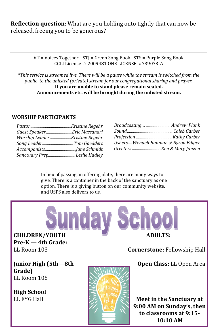**Reflection question:** What are you holding onto tightly that can now be released, freeing you to be generous?

> VT = Voices Together STJ = Green Song Book STS = Purple Song Book CCLI License #: 2009481 ONE LICENSE #739073-A

\**This service is streamed live. There will be a pause while the stream is switched from the public to the unlisted (private) stream for our congregational sharing and prayer.*  **If you are unable to stand please remain seated. Announcements etc. will be brought during the unlisted stream.**

#### **WORSHIP PARTICIPANTS**

| Guest Speaker Eric Massanari  |  |
|-------------------------------|--|
| Worship LeaderKristine Regehr |  |
|                               |  |
|                               |  |
|                               |  |

| Broadcasting  Andrew Plank           |  |
|--------------------------------------|--|
|                                      |  |
|                                      |  |
| Ushers Wendell Banman & Byron Ediger |  |
| Greeters Ken & Mary Janzen           |  |

In lieu of passing an offering plate, there are many ways to give. There is a container in the back of the sanctuary as one option. There is a giving button on our community website. and USPS also delivers to us.

**CHILDREN/YOUTH Pre-K — 4th Grade:**  LL Room 103

**ADULTS:**

**Cornerstone:** Fellowship Hall

**Open Class:** LL Open Area

**Junior High (5th—8th Grade)** LL Room 105

**High School**  LL FYG Hall



**Meet in the Sanctuary at 9:00 AM on Sunday's, then to classrooms at 9:15- 10:10 AM**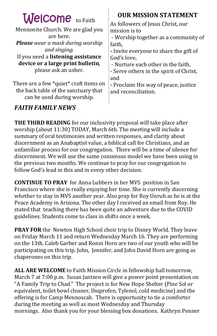| <b>Welcome</b> to Faith                                                                                    | <b>OUR MISSION STATEMENT</b>                                                                                                                   |
|------------------------------------------------------------------------------------------------------------|------------------------------------------------------------------------------------------------------------------------------------------------|
| Mennonite Church. We are glad you<br>are here.<br><b>Please</b> wear a mask during worship<br>and singing. | As followers of Jesus Christ, our<br>mission is to<br>- Worship together as a community of<br>faith,<br>- Invite everyone to share the gift of |
| If you need a listening assistance                                                                         | God's love.                                                                                                                                    |
| device or a large print bulletin,                                                                          | - Nurture each other in the faith,                                                                                                             |
| please ask an usher.                                                                                       | - Serve others in the spirit of Christ,                                                                                                        |
| There are a few *quiet* craft items on                                                                     | and                                                                                                                                            |
| the back table of the sanctuary that                                                                       | - Proclaim His way of peace, justice                                                                                                           |
| can be used during worship.                                                                                | and reconciliation.                                                                                                                            |

### *FAITH FAMILY NEWS*

**THE THIRD READING** for our inclusivity proposal will take place after worship (about 11:30) TODAY, March 6th. The meeting will include a summary of oral testimonies and written responses, and clarity about discernment as an Anabaptist value, a biblical call for Christians, and an unfamiliar process for our congregation. There will be a time of silence for discernment. We will use the same consensus model we have been using in the previous two months. We continue to pray for our congregation to follow God's lead in this and in every other decision.

**CONTINUE TO PRAY** for Anna Lubbers in her MVS position in San Francisco where she is really enjoying her time. She is currently discerning whether to stay in MVS another year. Also pray for Roy Unruh as he is at the Peace Academy in Arizona. The other day I received an email from Roy. He stated that teaching there has been quite an adventure due to the COVID guidelines. Students come to class in shifts once a week.

**PRAY FOR** the Newton High School choir trip to Disney World. They leave on Friday March 11 and return Wednesday March 16. They are performing on the 13th. Caleb Garber and Ronni Horn are two of our youth who will be participating on this trip. John, Jennifer, and John David Horn are going as chaperones on this trip.

**ALL ARE WELCOME** to Faith Mission Circle in fellowship hall tomorrow, March 7 at 7:00 p.m. Susan Jantzen will give a power point presentation on "A Family Trip to Chad." The project is for New Hope Shelter (Pine Sol or equivalent, toilet bowl cleaner, Ibuprofen, Tylenol, cold medicine) and the offering is for Camp Mennoscah. There is opportunity to tie a comforter during the meeting as well as most Wednesday and Thursday mornings. Also thank you for your blessing box donations. Kathryn Penner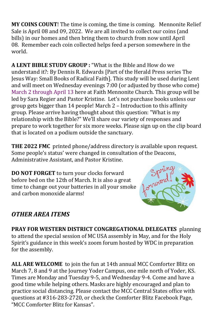**MY COINS COUNT**! The time is coming, the time is coming. Mennonite Relief Sale is April 08 and 09, 2022. We are all invited to collect our coins (and bills) in our homes and then bring them to church from now until April 08. Remember each coin collected helps feed a person somewhere in the world.

**A LENT BIBLE STUDY GROUP :** "What is the Bible and How do we understand it?: By Dennis R. Edwards [Part of the Herald Press series The Jesus Way: Small Books of Radical Faith]. This study will be used during Lent and will meet on Wednesday evenings 7:00 (or adjusted by those who come) March 2 through April 13 here at Faith Mennonite Church. This group will be led by Sara Regier and Pastor Kristine. Let's not purchase books unless our group gets bigger than 14 people! March 2 – Introduction to this affinity group. Please arrive having thought about this question: "What is my relationship with the Bible?" We'll share our variety of responses and prepare to work together for six more weeks. Please sign up on the clip board that is located on a podium outside the sanctuary.

**THE 2022 FMC** printed phone/address directory is available upon request. Some people's status' were changed in consultation of the Deacons, Administrative Assistant, and Pastor Kristine.

**DO NOT FORGET** to turn your clocks forward before bed on the 12th of March. It is also a great time to change out your batteries in all your smoke and carbon monoxide alarms!



## *OTHER AREA ITEMS*

**PRAY FOR WESTERN DISTRICT CONGREGATIONAL DELEGATES** planning to attend the special session of MC USA assembly in May, and for the Holy Spirit's guidance in this week's zoom forum hosted by WDC in preparation for the assembly.

**ALL ARE WELCOME** to join the fun at 14th annual MCC Comforter Blitz on March 7, 8 and 9 at the Journey Yoder Campus, one mile north of Yoder, KS. Times are Monday and Tuesday 9-5, and Wednesday 9-4. Come and have a good time while helping others. Masks are highly encouraged and plan to practice social distancing. Please contact the MCC Central States office with questions at #316-283-2720, or check the Comforter Blitz Facebook Page, "MCC Comforter Blitz for Kansas".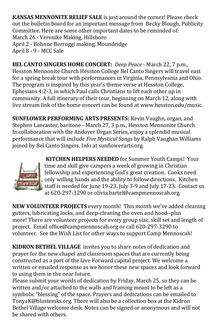**KANSAS MENNONITE RELIEF SALE** is just around the corner! Please check out the bulletin board for an important message from Becky Blough, Publicity Committee. Here are some other important dates to be reminded of: March 26 - Verenike Making, Hillsboro April 2 - Bohnne Berroggi making, Moundridge April 8 - 9 - MCC Sale

**BEL CANTO SINGERS HOME CONCERT:** *[Deep Peace](http://click.gotoextinguisher.com/click/ap3h-2icc9f-wl6gxq-7811x5s4/)* - March 22, 7 p.m., Hesston Mennonite Church Hesston College Bel Canto Singers will travel east for a spring break tour with performances in Virginia, Pennsylvania and Ohio. The program is inspired by this year's theme verse at Hesston College, Ephesians 4:2-3, in which Paul calls Christians to lift each other up in community. A full itinerary of their tour, beginning on March 12, along with live stream link of the home concert can be found at [www.hesston.edu/music.](http://click.gotoextinguisher.com/click/ap3h-2icc9f-wl6gxr-7811x5s5/)

**SUNFLOWER PERFORMING ARTS PRESENTS:** [Kevin Vaughn, organ, and](http://click.gotoextinguisher.com/click/ap3h-2icc9f-wl6gxu-7811x5s8/)  [Stephen Lancaster, baritone](http://click.gotoextinguisher.com/click/ap3h-2icc9f-wl6gxu-7811x5s8/) - March 27, 3 p.m., Hesston Mennonite Church In collaboration with the Andover Organ Series, enjoy a splendid musical performance that will include *Five Mystical Songs* by Ralph Vaughan Williams joined by Bel Canto Singers. Info at [sunflowerarts.org.](http://click.gotoextinguisher.com/click/ap3h-2icc9f-wl6gxv-7811x5s9/)



**KITCHEN HELPERS NEEDED** for Summer Youth Camps! Your time and skill give campers a week of growing in Christian fellowship and experiencing God's great creation. Cooks need only willing hands and the ability to follow directions. Kitchen staff is needed for June 19-23, July 3-9 and July 17-23. Contact us at 620-297-3290 or [olivia.bartel@campmennoscah.org.](mailto:olivia.bartel@campmennoscah.org)

**NEW VOLUNTEER PROJECTS** every month! This month we've added cleaning gutters, lubricating locks, and deep-cleaning the oven and hood--plus more! [There are volunteer projects for every group size, skill set and length of](https://www.campmennoscah.org/vnews/display.v/SEC/Get%20Involved%7CVolunteer%20at%20Camp)  [project.](https://www.campmennoscah.org/vnews/display.v/SEC/Get%20Involved%7CVolunteer%20at%20Camp) Email [office@campmennoscah.org](mailto:office@campmennoscah.org) or call 620-297-3290 to volunteer. See the [Wish List](https://www.campmennoscah.org/vnews/display.v/SEC/Get%20Involved%7CWish%20List) for other ways to support Camp Mennoscah!

**KIDRON BETHEL VILLAGE** invites you to share notes of dedication and prayer for the new chapel and classroom spaces that are currently being constructed as a part of the Live Forward capital project. We welcome a written or emailed response as we honor these new spaces and look forward to using them in the near future.

Please submit your words of dedication by Friday, March 25, so they can be written and/or attached to the walls and framing meant to be left as a symbolic "blessing" of the space. Prayers and dedications can be emailed to [TonyaK@blustemks.org.](mailto:TonyaK@blustemks.org) There will also be a collection box at the Kidron Bethel Village welcome desk. Notes can be signed or anonymous and will not be shared with others.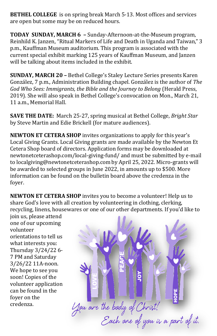**BETHEL COLLEGE** is on spring break March 5-13. Most offices and services are open but some may be on reduced hours.

**TODAY SUNDAY, MARCH 6 –** Sunday-Afternoon-at-the-Museum program, Reinhild K. Janzen, "Ritual Markers of Life and Death in Uganda and Taiwan," 3 p.m., Kauffman Museum auditorium. This program is associated with the current special exhibit marking 125 years of Kauffman Museum, and Janzen will be talking about items included in the exhibit.

**SUNDAY, MARCH 20 –** Bethel College's Staley Lecture Series presents Karen González, 7 p.m., Administration Building chapel. González is the author of *The God Who Sees: Immigrants, the Bible and the Journey to Belong* (Herald Press, 2019). She will also speak in Bethel College's convocation on Mon., March 21, 11 a.m., Memorial Hall.

**SAVE THE DATE:** March 25-27, spring musical at Bethel College, *Bright Star* by Steve Martin and Edie Brickell (for mature audiences).

**NEWTON ET CETERA SHOP** invites organizations to apply for this year's Local Giving Grants. Local Giving grants are made available by the Newton Et Cetera Shop board of directors. Application forms may be downloaded at [newtonetceterashop.com/local](http://newtonetceterashop.com/local-giving-fund/)-giving-fund/ and must be submitted by e-mail to [localgiving@newtonetceterashop.com](mailto:localgiving@newtonetceterashop.com) by April 25, 2022. Micro-grants will be awarded to selected groups in June 2022, in amounts up to \$500. More information can be found on the bulletin board above the credenza in the foyer.

**NEWTON ET CETERA SHOP** invites you to become a volunteer! Help us to share God's love with all creation by volunteering in clothing, clerking, recycling, linens, housewares or one of our other departments. If you'd like to

join us, please attend one of our upcoming volunteer orientations to tell us what interests you: Thursday 3/24/22 6- 7 PM and Saturday 3/26/22 11A-noon. We hope to see you soon! Copies of the volunteer application can be found in the foyer on the credenza.